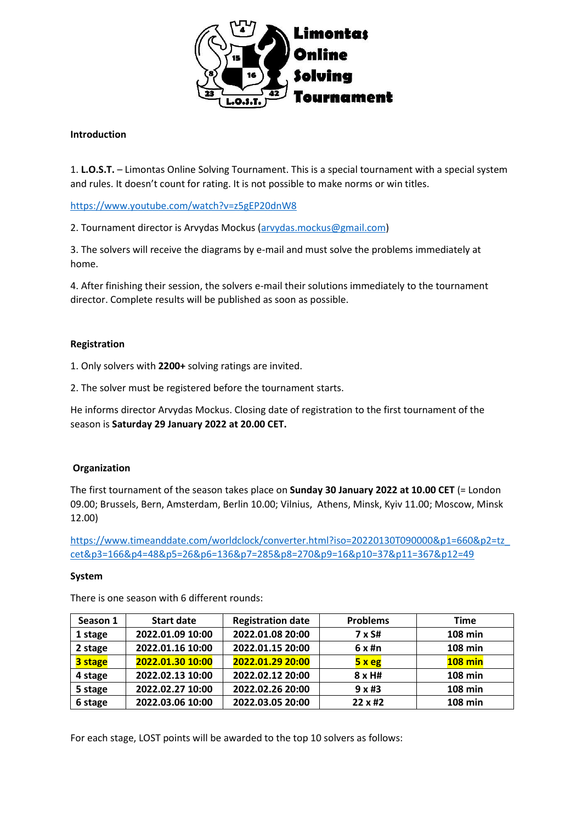

# **Introduction**

1. **L.O.S.T.** – Limontas Online Solving Tournament. This is a special tournament with a special system and rules. It doesn't count for rating. It is not possible to make norms or win titles.

<https://www.youtube.com/watch?v=z5gEP20dnW8>

2. Tournament director is Arvydas Mockus [\(arvydas.mockus@gmail.com\)](mailto:arvydas.mockus@gmail.com)

3. The solvers will receive the diagrams by e-mail and must solve the problems immediately at home.

4. After finishing their session, the solvers e-mail their solutions immediately to the tournament director. Complete results will be published as soon as possible.

## **Registration**

1. Only solvers with **2200+** solving ratings are invited.

2. The solver must be registered before the tournament starts.

He informs director Arvydas Mockus. Closing date of registration to the first tournament of the season is **Saturday 29 January 2022 at 20.00 CET.**

## **Organization**

The first tournament of the season takes place on **Sunday 30 January 2022 at 10.00 CET** (= London 09.00; Brussels, Bern, Amsterdam, Berlin 10.00; Vilnius, Athens, Minsk, Kyiv 11.00; Moscow, Minsk 12.00)

[https://www.timeanddate.com/worldclock/converter.html?iso=20220130T090000&p1=660&p2=tz\\_](https://www.timeanddate.com/worldclock/converter.html?iso=20220130T090000&p1=660&p2=tz_cet&p3=166&p4=48&p5=26&p6=136&p7=285&p8=270&p9=16&p10=37&p11=367&p12=49) [cet&p3=166&p4=48&p5=26&p6=136&p7=285&p8=270&p9=16&p10=37&p11=367&p12=49](https://www.timeanddate.com/worldclock/converter.html?iso=20220130T090000&p1=660&p2=tz_cet&p3=166&p4=48&p5=26&p6=136&p7=285&p8=270&p9=16&p10=37&p11=367&p12=49)

## **System**

| Season 1 | <b>Start date</b> | <b>Registration date</b> | <b>Problems</b>        | Time           |
|----------|-------------------|--------------------------|------------------------|----------------|
| 1 stage  | 2022.01.09 10:00  | 2022.01.08 20:00         | 7 x S#                 | 108 min        |
| 2 stage  | 2022.01.16 10:00  | 2022.01.15 20:00         | $6x$ #n                | <b>108 min</b> |
| 3 stage  | 2022.01.30 10:00  | 2022.01.29 20:00         | 5xeg                   | <b>108 min</b> |
| 4 stage  | 2022.02.13 10:00  | 2022.02.12 20:00         | $8 \times H#$          | <b>108 min</b> |
| 5 stage  | 2022.02.27 10:00  | 2022.02.26 20:00         | 9x#3                   | <b>108 min</b> |
| 6 stage  | 2022.03.06 10:00  | 2022.03.05 20:00         | $22 \times \text{\#2}$ | 108 min        |

There is one season with 6 different rounds:

For each stage, LOST points will be awarded to the top 10 solvers as follows: